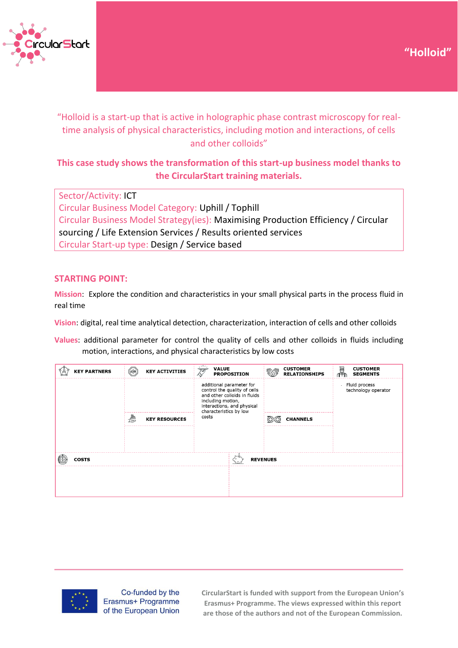



"Holloid is a start-up that is active in holographic phase contrast microscopy for realtime analysis of physical characteristics, including motion and interactions, of cells and other colloids"

# **This case study shows the transformation of this start-up business model thanks to the CircularStart training materials.**

Sector/Activity: ICT Circular Business Model Category: Uphill / Tophill Circular Business Model Strategy(ies): Maximising Production Efficiency / Circular sourcing / Life Extension Services / Results oriented services Circular Start-up type: Design / Service based

## **STARTING POINT:**

**Mission**: Explore the condition and characteristics in your small physical parts in the process fluid in real time

**Vision**: digital, real time analytical detection, characterization, interaction of cells and other colloids

**Values**: additional parameter for control the quality of cells and other colloids in fluids including motion, interactions, and physical characteristics by low costs

| <b>KEY PARTNERS</b>             | <b>WORK</b><br><b>KEY ACTIVITIES</b>                                                                                                                                  | <b>VALUE</b><br>ভ<br><b>PROPOSITION</b> | <b>CUSTOMER</b><br><b>RELATIONSHIPS</b> | 圝<br><b>CUSTOMER</b><br><b>SEGMENTS</b>    |  |
|---------------------------------|-----------------------------------------------------------------------------------------------------------------------------------------------------------------------|-----------------------------------------|-----------------------------------------|--------------------------------------------|--|
|                                 | additional parameter for<br>control the quality of cells<br>and other colloids in fluids<br>including motion,<br>interactions, and physical<br>characteristics by low |                                         |                                         | Fluid process<br>×.<br>technology operator |  |
|                                 | a<br>U<br><b>KEY RESOURCES</b>                                                                                                                                        | costs                                   | <b>CHANNELS</b>                         |                                            |  |
|                                 |                                                                                                                                                                       |                                         |                                         |                                            |  |
|                                 |                                                                                                                                                                       |                                         |                                         |                                            |  |
| <b>COSTS</b><br><b>REVENUES</b> |                                                                                                                                                                       |                                         |                                         |                                            |  |
|                                 |                                                                                                                                                                       |                                         |                                         |                                            |  |
|                                 |                                                                                                                                                                       |                                         |                                         |                                            |  |
|                                 |                                                                                                                                                                       |                                         |                                         |                                            |  |



Co-funded by the Erasmus+ Programme of the European Union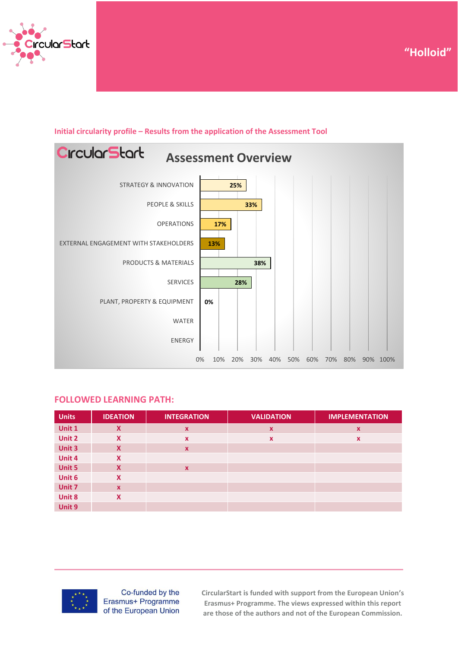





### **Initial circularity profile – Results from the application of the Assessment Tool**

#### **FOLLOWED LEARNING PATH:**

| <b>Units</b> | <b>IDEATION</b> | <b>INTEGRATION</b>        | <b>VALIDATION</b>         | <b>IMPLEMENTATION</b>     |
|--------------|-----------------|---------------------------|---------------------------|---------------------------|
| Unit 1       | X               | $\boldsymbol{\mathsf{x}}$ | X                         | $\boldsymbol{\mathsf{x}}$ |
| Unit 2       | X               | $\boldsymbol{\mathsf{x}}$ | $\boldsymbol{\mathsf{x}}$ | $\boldsymbol{\mathsf{x}}$ |
| Unit 3       | X               | $\boldsymbol{\mathsf{x}}$ |                           |                           |
| Unit 4       | $\mathbf x$     |                           |                           |                           |
| Unit 5       | X               | $\boldsymbol{\mathsf{x}}$ |                           |                           |
| Unit 6       | X               |                           |                           |                           |
| Unit 7       | $\mathbf{x}$    |                           |                           |                           |
| Unit 8       | X               |                           |                           |                           |
| Unit 9       |                 |                           |                           |                           |



Co-funded by the Erasmus+ Programme of the European Union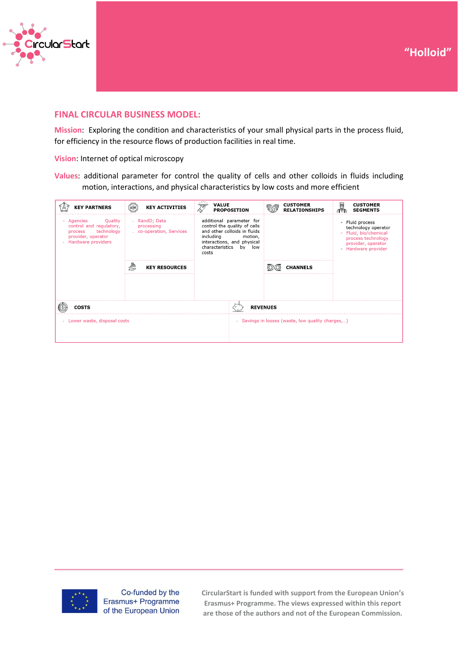



## **FINAL CIRCULAR BUSINESS MODEL:**

**Mission**: Exploring the condition and characteristics of your small physical parts in the process fluid, for efficiency in the resource flows of production facilities in real time.

**Vision**: Internet of optical microscopy

**Values**: additional parameter for control the quality of cells and other colloids in fluids including motion, interactions, and physical characteristics by low costs and more efficient

| <b>KEY PARTNERS</b>                                                                                                        | <b>HORK</b><br><b>KEY ACTIVITIES</b>                | <b>VALUE</b><br>ভ<br><b>PROPOSITION</b>                                                                                                                                              | <b>CUSTOMER</b><br><b>RELATIONSHIPS</b>           | U<br><b>CUSTOMER</b><br><b>SEGMENTS</b>                                                                                          |
|----------------------------------------------------------------------------------------------------------------------------|-----------------------------------------------------|--------------------------------------------------------------------------------------------------------------------------------------------------------------------------------------|---------------------------------------------------|----------------------------------------------------------------------------------------------------------------------------------|
| Quality<br>Agencies<br>٠<br>control and regulatory,<br>technology<br>process<br>provider, operator<br>- Hardware providers | RandD; Data<br>processing<br>co-operation, Services | additional parameter for<br>control the quality of cells<br>and other colloids in fluids<br>including<br>motion,<br>interactions, and physical<br>characteristics<br>by low<br>costs |                                                   | - Fluid process<br>technology operator<br>- Fluid, bio/chemical<br>process technology<br>provider, operator<br>Hardware provider |
|                                                                                                                            | <b>KEY RESOURCES</b>                                |                                                                                                                                                                                      | <b>CHANNELS</b>                                   |                                                                                                                                  |
|                                                                                                                            |                                                     |                                                                                                                                                                                      |                                                   |                                                                                                                                  |
| <b>COSTS</b>                                                                                                               |                                                     |                                                                                                                                                                                      | <b>REVENUES</b>                                   |                                                                                                                                  |
| - Lower waste, disposal costs                                                                                              |                                                     |                                                                                                                                                                                      | - Savings in losses (waste, low quality charges,) |                                                                                                                                  |



Co-funded by the Erasmus+ Programme of the European Union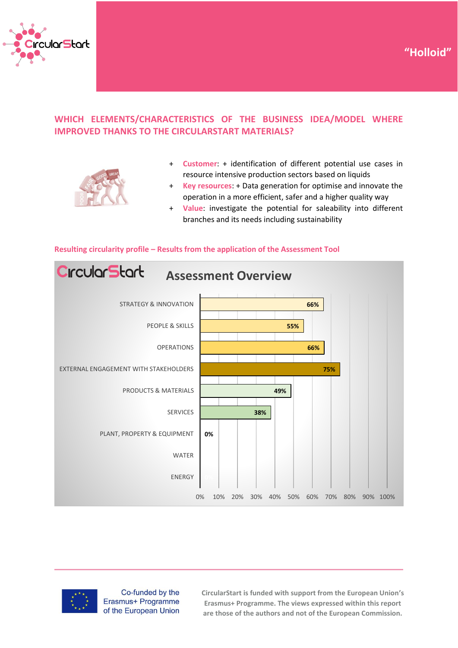

# **WHICH ELEMENTS/CHARACTERISTICS OF THE BUSINESS IDEA/MODEL WHERE IMPROVED THANKS TO THE CIRCULARSTART MATERIALS?**



+ **Customer**: + identification of different potential use cases in resource intensive production sectors based on liquids

**"Holloid"**

- + **Key resources**: + Data generation for optimise and innovate the operation in a more efficient, safer and a higher quality way
- + **Value**: investigate the potential for saleability into different branches and its needs including sustainability



#### **Resulting circularity profile – Results from the application of the Assessment Tool**



Co-funded by the Erasmus+ Programme of the European Union